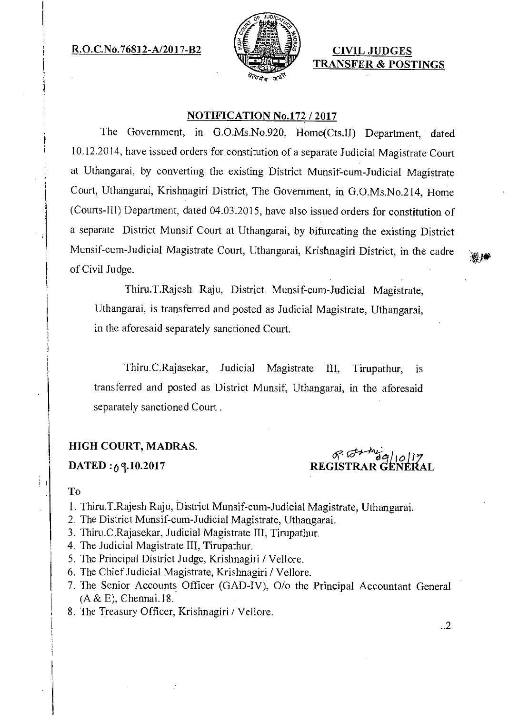R.O.C.No.76812-A/2017-B2  $\left[\frac{1}{2} \mathbb{Z} \right]$  CIVIL JUDGES



TRANSFER & POSTINGS

## NOTIFICATION No.172 /2017

The Government, in G.O.Ms.No.920, Home(Cts.II) Department, dated 10.12.2014, have issued orders for constitution of a separate Judicial Magistrate Court at Uthangarai, by converting the existing District Munsif-cum-Judicial Magistrate Court, Uthangarai, Krishnagiri District, The Government, in G.O.Ms.No.214, Home (Courts-ill) Department, dated 04.03.2015, have also issued orders for constitution of a separate District Munsif Court at Uthangarai, by bifurcating the existing District Munsif-cum-Judicial Magistrate Court, Uthangarai, Krishnagiri District, in the cadre of Civil Judge.

Thiru.T.Rajesh Raju, District Munsif-cum-Judicial Magistrate, Uthangarai, is transferred and posted as Judicial Magistrate, Uthangarai, in the aforesaid separately sanctioned Court.

Thiru.C.Rajasekar, Judicial Magistrate III, Tirupathur, is transferred and posted as District Munsif, Uthangarai, in the aforesaid separately sanctioned Court .

## HIGH COURT, MADRAS.

DATED *:6 1.10.2017* 

 $.64-442$ REGISTRAR GENERAL

## To

- 1. Thiru.T.Rajesh Raju, District Munsif-cum-Judicial Magistrate, Uthangarai.
- 2. The District Munsif-cum-Judicial Magistrate, Uthangarai.
- 3. Thiru.C.Rajasekar, Judicial Magistrate HI, Tirupathur.
- 4. The Judicial Magistrate III, Tirupathur.
- 5. The Principal District Judge, Krishnagiri / Vellore.
- 6. The Chief Judicial Magistrate, Krishnagiri / Vellore.
- 7. The Senior Accounts Officer (GAD-IV), 0/o the Principal Accountant General  $(A & E)$ , Chennai.18.
- 8. The Treasury Officer, Krishnagiri / Vellore.

..2